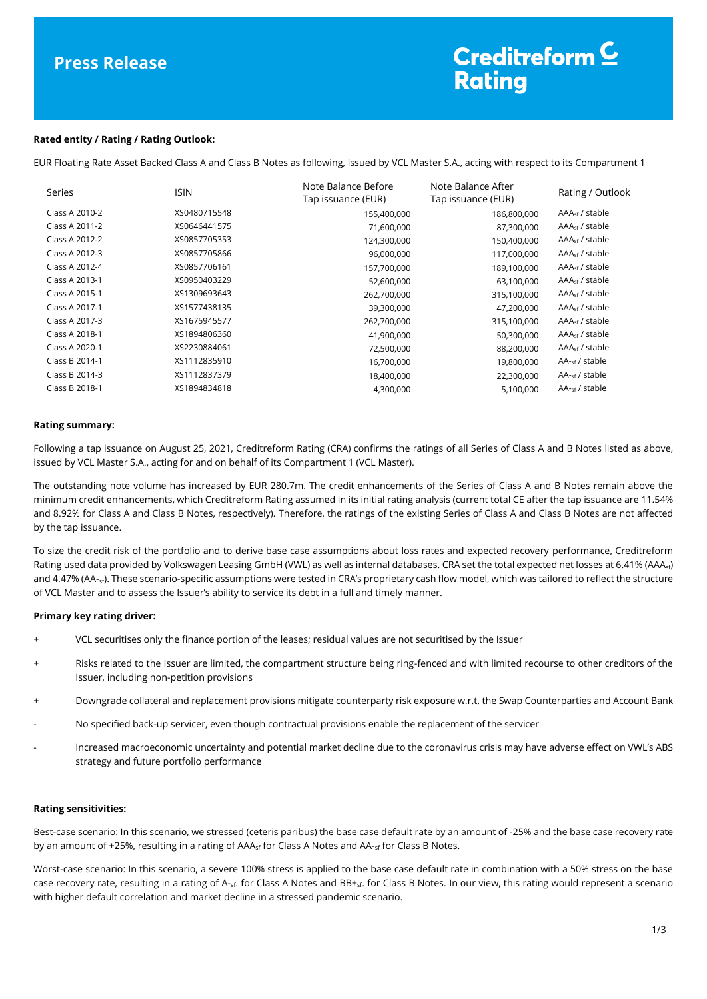# **Press Release**

# Creditreform  $\subseteq$ **Rating**

## **Rated entity / Rating / Rating Outlook:**

EUR Floating Rate Asset Backed Class A and Class B Notes as following, issued by VCL Master S.A., acting with respect to its Compartment 1

| Series         | <b>ISIN</b>  | Note Balance Before<br>Tap issuance (EUR) | Note Balance After<br>Tap issuance (EUR) | Rating / Outlook           |
|----------------|--------------|-------------------------------------------|------------------------------------------|----------------------------|
| Class A 2010-2 | XS0480715548 | 155,400,000                               | 186,800,000                              | AAA <sub>sf</sub> / stable |
| Class A 2011-2 | XS0646441575 | 71,600,000                                | 87,300,000                               | $AAAsf$ / stable           |
| Class A 2012-2 | XS0857705353 | 124,300,000                               | 150,400,000                              | AAA <sub>sf</sub> / stable |
| Class A 2012-3 | XS0857705866 | 96,000,000                                | 117,000,000                              | AAA <sub>sf</sub> / stable |
| Class A 2012-4 | XS0857706161 | 157,700,000                               | 189,100,000                              | AAA <sub>sf</sub> / stable |
| Class A 2013-1 | XS0950403229 | 52,600,000                                | 63,100,000                               | $AAAsf$ / stable           |
| Class A 2015-1 | XS1309693643 | 262,700,000                               | 315,100,000                              | AAA <sub>sf</sub> / stable |
| Class A 2017-1 | XS1577438135 | 39,300,000                                | 47,200,000                               | AAA <sub>sf</sub> / stable |
| Class A 2017-3 | XS1675945577 | 262,700,000                               | 315,100,000                              | $AAAsf$ / stable           |
| Class A 2018-1 | XS1894806360 | 41,900,000                                | 50,300,000                               | AAA <sub>sf</sub> / stable |
| Class A 2020-1 | XS2230884061 | 72,500,000                                | 88,200,000                               | AAA <sub>sf</sub> / stable |
| Class B 2014-1 | XS1112835910 | 16,700,000                                | 19,800,000                               | AA- <sub>sf</sub> / stable |
| Class B 2014-3 | XS1112837379 | 18,400,000                                | 22,300,000                               | $AA_{\text{cf}}$ / stable  |
| Class B 2018-1 | XS1894834818 | 4,300,000                                 | 5,100,000                                | AA- <sub>sf</sub> / stable |

## **Rating summary:**

Following a tap issuance on August 25, 2021, Creditreform Rating (CRA) confirms the ratings of all Series of Class A and B Notes listed as above, issued by VCL Master S.A., acting for and on behalf of its Compartment 1 (VCL Master).

The outstanding note volume has increased by EUR 280.7m. The credit enhancements of the Series of Class A and B Notes remain above the minimum credit enhancements, which Creditreform Rating assumed in its initial rating analysis (current total CE after the tap issuance are 11.54% and 8.92% for Class A and Class B Notes, respectively). Therefore, the ratings of the existing Series of Class A and Class B Notes are not affected by the tap issuance.

To size the credit risk of the portfolio and to derive base case assumptions about loss rates and expected recovery performance, Creditreform Rating used data provided by Volkswagen Leasing GmbH (VWL) as well as internal databases. CRA set the total expected net losses at 6.41% (AAA<sub>sf</sub>) and 4.47% (AA-<sub>sf</sub>). These scenario-specific assumptions were tested in CRA's proprietary cash flow model, which was tailored to reflect the structure of VCL Master and to assess the Issuer's ability to service its debt in a full and timely manner.

# **Primary key rating driver:**

- VCL securitises only the finance portion of the leases; residual values are not securitised by the Issuer
- + Risks related to the Issuer are limited, the compartment structure being ring-fenced and with limited recourse to other creditors of the Issuer, including non-petition provisions
- + Downgrade collateral and replacement provisions mitigate counterparty risk exposure w.r.t. the Swap Counterparties and Account Bank
- No specified back-up servicer, even though contractual provisions enable the replacement of the servicer
- Increased macroeconomic uncertainty and potential market decline due to the coronavirus crisis may have adverse effect on VWL's ABS strategy and future portfolio performance

#### **Rating sensitivities:**

Best-case scenario: In this scenario, we stressed (ceteris paribus) the base case default rate by an amount of -25% and the base case recovery rate by an amount of +25%, resulting in a rating of  $AAA_{sf}$  for Class A Notes and  $AA_{sf}$  for Class B Notes.

Worst-case scenario: In this scenario, a severe 100% stress is applied to the base case default rate in combination with a 50% stress on the base case recovery rate, resulting in a rating of A-<sub>sf</sub>. for Class A Notes and BB+<sub>sf</sub>. for Class B Notes. In our view, this rating would represent a scenario with higher default correlation and market decline in a stressed pandemic scenario.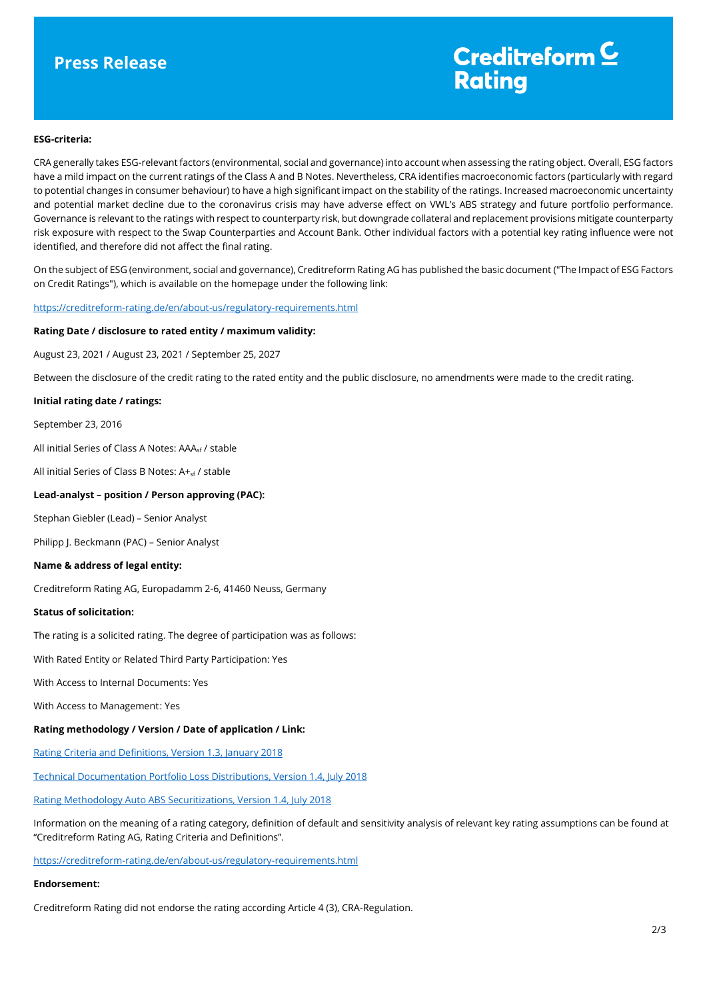# **Press Release**

# Creditreform<sup>C</sup> **Rating**

## **ESG-criteria:**

CRA generally takes ESG-relevant factors (environmental, social and governance) into account when assessing the rating object. Overall, ESG factors have a mild impact on the current ratings of the Class A and B Notes. Nevertheless, CRA identifies macroeconomic factors (particularly with regard to potential changes in consumer behaviour) to have a high significant impact on the stability of the ratings. Increased macroeconomic uncertainty and potential market decline due to the coronavirus crisis may have adverse effect on VWL's ABS strategy and future portfolio performance. Governance is relevant to the ratings with respect to counterparty risk, but downgrade collateral and replacement provisions mitigate counterparty risk exposure with respect to the Swap Counterparties and Account Bank. Other individual factors with a potential key rating influence were not identified, and therefore did not affect the final rating.

On the subject of ESG (environment, social and governance), Creditreform Rating AG has published the basic document ("The Impact of ESG Factors on Credit Ratings"), which is available on the homepage under the following link:

#### <https://creditreform-rating.de/en/about-us/regulatory-requirements.html>

# **Rating Date / disclosure to rated entity / maximum validity:**

August 23, 2021 / August 23, 2021 / September 25, 2027

Between the disclosure of the credit rating to the rated entity and the public disclosure, no amendments were made to the credit rating.

#### **Initial rating date / ratings:**

September 23, 2016

All initial Series of Class A Notes: AAA<sub>sf</sub> / stable

All initial Series of Class B Notes:  $A +_{sf}$  / stable

#### **Lead-analyst – position / Person approving (PAC):**

Stephan Giebler (Lead) – Senior Analyst

Philipp J. Beckmann (PAC) – Senior Analyst

## **Name & address of legal entity:**

Creditreform Rating AG, Europadamm 2-6, 41460 Neuss, Germany

#### **Status of solicitation:**

The rating is a solicited rating. The degree of participation was as follows:

With Rated Entity or Related Third Party Participation: Yes

With Access to Internal Documents: Yes

With Access to Management: Yes

#### **Rating methodology / Version / Date of application / Link:**

[Rating Criteria and Definitions, Version 1.3, January 2018](https://creditreform-rating.de/en/about-us/regulatory-requirements.html?file=files/content/downloads/Externes%20Rating/Regulatorische%20Anforderungen/EN/Ratingmethodiken%20EN/CRAG%20Rating%20Criteria%20and%20Definitions.pdf)

[Technical Documentation Portfolio Loss Distributions, Version 1.4, July 2018](https://creditreform-rating.de/en/about-us/regulatory-requirements.html?file=files/content/downloads/Externes%20Rating/Regulatorische%20Anforderungen/EN/Ratingmethodiken%20EN/Technical%20Documentation%20Portfolio%20Loss%20Distributions.pdf)

[Rating Methodology Auto ABS Securitizations, Version 1.4, July 2018](https://creditreform-rating.de/en/about-us/regulatory-requirements.html?file=files/content/downloads/Externes%20Rating/Regulatorische%20Anforderungen/EN/Ratingmethodiken%20EN/Rating%20Methodology%20Auto%20ABS%20Securitizations.pdf)

Information on the meaning of a rating category, definition of default and sensitivity analysis of relevant key rating assumptions can be found at "Creditreform Rating AG, Rating Criteria and Definitions".

[https://creditreform-rating.de/en/about-us/regulatory-requirements.html](https://www.creditreform-rating.de/en/about-us/regulatory-requirements.html)

#### **Endorsement:**

Creditreform Rating did not endorse the rating according Article 4 (3), CRA-Regulation.